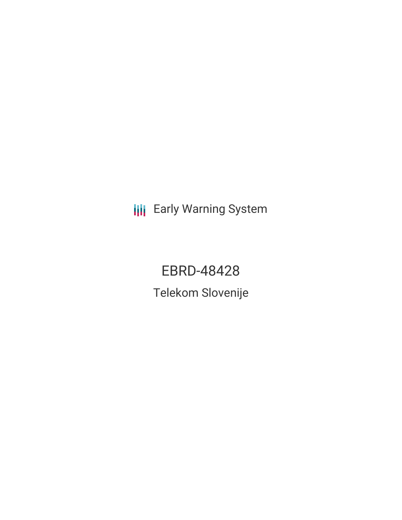**III** Early Warning System

EBRD-48428 Telekom Slovenije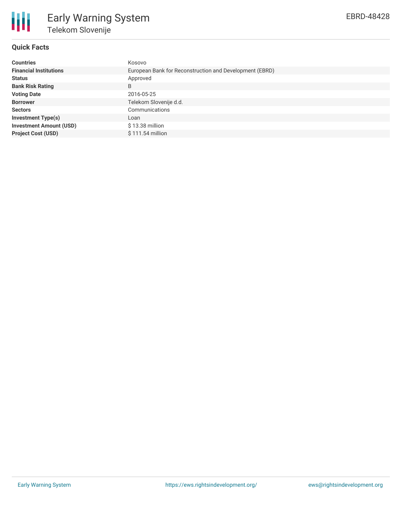

# **Quick Facts**

| <b>Countries</b>               | Kosovo                                                  |
|--------------------------------|---------------------------------------------------------|
| <b>Financial Institutions</b>  | European Bank for Reconstruction and Development (EBRD) |
| <b>Status</b>                  | Approved                                                |
| <b>Bank Risk Rating</b>        | B                                                       |
| <b>Voting Date</b>             | 2016-05-25                                              |
| <b>Borrower</b>                | Telekom Slovenije d.d.                                  |
| <b>Sectors</b>                 | Communications                                          |
| <b>Investment Type(s)</b>      | Loan                                                    |
| <b>Investment Amount (USD)</b> | $$13.38$ million                                        |
| <b>Project Cost (USD)</b>      | \$111.54 million                                        |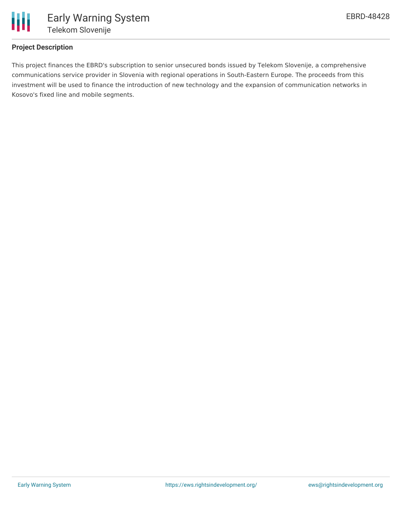

# **Project Description**

This project finances the EBRD's subscription to senior unsecured bonds issued by Telekom Slovenije, a comprehensive communications service provider in Slovenia with regional operations in South-Eastern Europe. The proceeds from this investment will be used to finance the introduction of new technology and the expansion of communication networks in Kosovo's fixed line and mobile segments.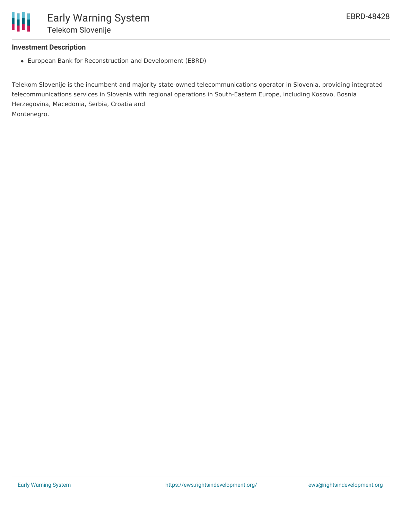

### **Investment Description**

European Bank for Reconstruction and Development (EBRD)

Telekom Slovenije is the incumbent and majority state-owned telecommunications operator in Slovenia, providing integrated telecommunications services in Slovenia with regional operations in South-Eastern Europe, including Kosovo, Bosnia Herzegovina, Macedonia, Serbia, Croatia and Montenegro.